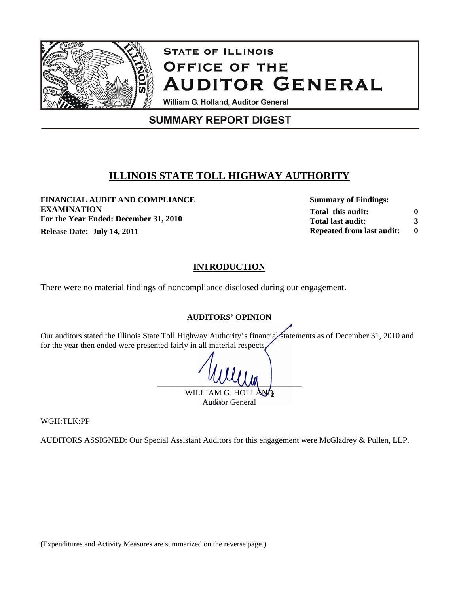

# **STATE OF ILLINOIS OFFICE OF THE AUDITOR GENERAL**

William G. Holland, Auditor General

## **SUMMARY REPORT DIGEST**

### **ILLINOIS STATE TOLL HIGHWAY AUTHORITY**

**FINANCIAL AUDIT AND COMPLIANCE Summary of Findings: EXAMINATION For the Year Ended: December 31, 2010 Release Date: July 14, 2011** 

**Total this audit: Total last audit: Repeated from last audit: 0 3 0**

#### **INTRODUCTION**

There were no material findings of noncompliance disclosed during our engagement.

#### **AUDITORS' OPINION**

Our auditors stated the Illinois State Toll Highway Authority's financial statements as of December 31, 2010 and for the year then ended were presented fairly in all material respects.

 $\sim$ WILLIAM G. HOLL

Auditor General

WGH:TLK:PP

AUDITORS ASSIGNED: Our Special Assistant Auditors for this engagement were McGladrey & Pullen, LLP.